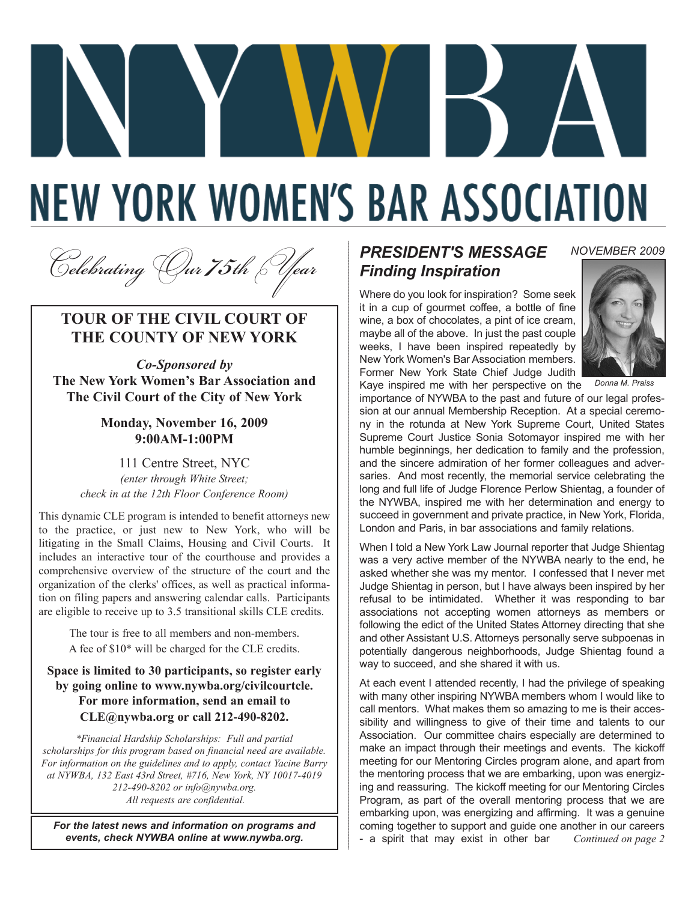# **NEW YORK WOMEN'S BAR ASSOCIATION**

<sup>C</sup>*elebrating* O*ur 75th* Y*ear*

### **TOUR OF THE CIVIL COURT OF THE COUNTY OF NEW YORK**

*Co-Sponsored by*  **The New York Women's Bar Association and The Civil Court of the City of New York** 

### **Monday, November 16, 2009 9:00AM-1:00PM**

111 Centre Street, NYC *(enter through White Street; check in at the 12th Floor Conference Room)*

This dynamic CLE program is intended to benefit attorneys new to the practice, or just new to New York, who will be litigating in the Small Claims, Housing and Civil Courts. It includes an interactive tour of the courthouse and provides a comprehensive overview of the structure of the court and the organization of the clerks' offices, as well as practical information on filing papers and answering calendar calls. Participants are eligible to receive up to 3.5 transitional skills CLE credits.

> The tour is free to all members and non-members. A fee of \$10\* will be charged for the CLE credits.

### **Space is limited to 30 participants, so register early by going online to www.nywba.org/civilcourtcle. For more information, send an email to CLE@nywba.org or call 212-490-8202.**

*\*Financial Hardship Scholarships: Full and partial scholarships for this program based on financial need are available. For information on the guidelines and to apply, contact Yacine Barry at NYWBA, 132 East 43rd Street, #716, New York, NY 10017-4019 212-490-8202 or info@nywba.org. All requests are confidential.*

*For the latest news and information on programs and events, check NYWBA online at www.nywba.org.*

# *PRESIDENT'S MESSAGE Finding Inspiration*

Where do you look for inspiration? Some seek it in a cup of gourmet coffee, a bottle of fine wine, a box of chocolates, a pint of ice cream, maybe all of the above. In just the past couple weeks, I have been inspired repeatedly by New York Women's Bar Association members. Former New York State Chief Judge Judith Kaye inspired me with her perspective on the



*NOVEMBER 2009*

*Donna M. Praiss*

importance of NYWBA to the past and future of our legal profession at our annual Membership Reception. At a special ceremony in the rotunda at New York Supreme Court, United States Supreme Court Justice Sonia Sotomayor inspired me with her humble beginnings, her dedication to family and the profession, and the sincere admiration of her former colleagues and adversaries. And most recently, the memorial service celebrating the long and full life of Judge Florence Perlow Shientag, a founder of the NYWBA, inspired me with her determination and energy to succeed in government and private practice, in New York, Florida, London and Paris, in bar associations and family relations.

When I told a New York Law Journal reporter that Judge Shientag was a very active member of the NYWBA nearly to the end, he asked whether she was my mentor. I confessed that I never met Judge Shientag in person, but I have always been inspired by her refusal to be intimidated. Whether it was responding to bar associations not accepting women attorneys as members or following the edict of the United States Attorney directing that she and other Assistant U.S. Attorneys personally serve subpoenas in potentially dangerous neighborhoods, Judge Shientag found a way to succeed, and she shared it with us.

At each event I attended recently, I had the privilege of speaking with many other inspiring NYWBA members whom I would like to call mentors. What makes them so amazing to me is their accessibility and willingness to give of their time and talents to our Association. Our committee chairs especially are determined to make an impact through their meetings and events. The kickoff meeting for our Mentoring Circles program alone, and apart from the mentoring process that we are embarking, upon was energizing and reassuring. The kickoff meeting for our Mentoring Circles Program, as part of the overall mentoring process that we are embarking upon, was energizing and affirming. It was a genuine coming together to support and guide one another in our careers - a spirit that may exist in other bar *Continued on page 2*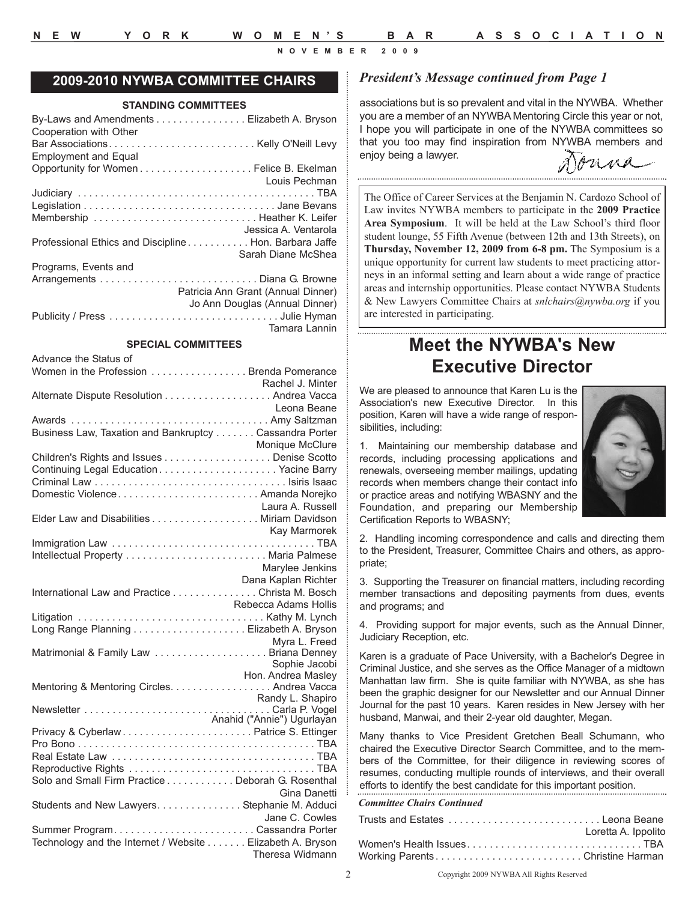Advance the Status of

**NOVEMBER 2009**

### **2009-2010 NYWBA COMMITTEE CHAIRS**

### **STANDING COMMITTEES**

### **SPECIAL COMMITTEES**

| Advance the Status of<br>Nomen in the Profession Brenda Pomerance                                                                                                                                        |                      |
|----------------------------------------------------------------------------------------------------------------------------------------------------------------------------------------------------------|----------------------|
|                                                                                                                                                                                                          | Rachel J. Minter     |
| Alternate Dispute Resolution Andrea Vacca                                                                                                                                                                |                      |
|                                                                                                                                                                                                          | Leona Beane          |
| Awards  Amy Saltzman                                                                                                                                                                                     |                      |
| Business Law, Taxation and Bankruptcy Cassandra Porter                                                                                                                                                   |                      |
|                                                                                                                                                                                                          |                      |
| Monique McClure<br>Children's Rights and Issues Denise Scotto                                                                                                                                            |                      |
| Continuing Legal EducationYacine Barry                                                                                                                                                                   |                      |
|                                                                                                                                                                                                          |                      |
| Domestic Violence Amanda Norejko                                                                                                                                                                         |                      |
|                                                                                                                                                                                                          |                      |
|                                                                                                                                                                                                          |                      |
|                                                                                                                                                                                                          |                      |
| Kay Marmorek<br>Immigration Law<br>Littling the United States of the United States of the United States of the United States of the United States                                                        |                      |
|                                                                                                                                                                                                          |                      |
|                                                                                                                                                                                                          | Marylee Jenkins      |
|                                                                                                                                                                                                          | Dana Kaplan Richter  |
| Dana Kaplan Richter<br>International Law and Practice Christa M. Bosch                                                                                                                                   |                      |
|                                                                                                                                                                                                          | Rebecca Adams Hollis |
|                                                                                                                                                                                                          |                      |
|                                                                                                                                                                                                          |                      |
|                                                                                                                                                                                                          |                      |
| Myra L. Freed<br>Matrimonial & Family Law Briana Denney                                                                                                                                                  |                      |
|                                                                                                                                                                                                          | Sophie Jacobi        |
|                                                                                                                                                                                                          | Hon. Andrea Masley   |
| Mentoring & Mentoring Circles. Andrea Vacca                                                                                                                                                              |                      |
|                                                                                                                                                                                                          |                      |
|                                                                                                                                                                                                          |                      |
| Randy L. Shapiro<br>Newsletter<br>Newsletter<br>Anahid ("Annie") Ugurlayan<br>Privacy & Cyberlaw<br>Anahid ("Annie") Ugurlayan<br>Privacy & Cyberlaw<br>Anahid ("Annie") Ugurlayan<br>Privacy & Cyberlaw |                      |
|                                                                                                                                                                                                          |                      |
|                                                                                                                                                                                                          |                      |
|                                                                                                                                                                                                          |                      |
| Solo and Small Firm Practice Deborah G. Rosenthal                                                                                                                                                        |                      |
|                                                                                                                                                                                                          | Gina Danetti         |
| Students and New Lawyers. Stephanie M. Adduci                                                                                                                                                            |                      |
|                                                                                                                                                                                                          | Jane C. Cowles       |
|                                                                                                                                                                                                          |                      |
| Technology and the Internet / Website Elizabeth A. Bryson                                                                                                                                                |                      |
|                                                                                                                                                                                                          | Theresa Widmann      |

### *President's Message continued from Page 1*

associations but is so prevalent and vital in the NYWBA. Whether you are a member of an NYWBA Mentoring Circle this year or not, I hope you will participate in one of the NYWBA committees so that you too may find inspiration from NYWBA members and enjoy being a lawyer.

The Office of Career Services at the Benjamin N. Cardozo School of Law invites NYWBA members to participate in the **2009 Practice**

**Area Symposium**. It will be held at the Law School's third floor student lounge, 55 Fifth Avenue (between 12th and 13th Streets), on **Thursday, November 12, 2009 from 6-8 pm.** The Symposium is a unique opportunity for current law students to meet practicing attorneys in an informal setting and learn about a wide range of practice areas and internship opportunities. Please contact NYWBA Students & New Lawyers Committee Chairs at *snlchairs@nywba.org* if you are interested in participating.

# **Meet the NYWBA's New Executive Director**

We are pleased to announce that Karen Lu is the Association's new Executive Director. In this position, Karen will have a wide range of responsibilities, including:

1. Maintaining our membership database and records, including processing applications and renewals, overseeing member mailings, updating records when members change their contact info or practice areas and notifying WBASNY and the Foundation, and preparing our Membership Certification Reports to WBASNY;



2. Handling incoming correspondence and calls and directing them to the President, Treasurer, Committee Chairs and others, as appropriate;

3. Supporting the Treasurer on financial matters, including recording member transactions and depositing payments from dues, events and programs; and

4. Providing support for major events, such as the Annual Dinner, Judiciary Reception, etc.

Karen is a graduate of Pace University, with a Bachelor's Degree in Criminal Justice, and she serves as the Office Manager of a midtown Manhattan law firm. She is quite familiar with NYWBA, as she has been the graphic designer for our Newsletter and our Annual Dinner Journal for the past 10 years. Karen resides in New Jersey with her husband, Manwai, and their 2-year old daughter, Megan.

Many thanks to Vice President Gretchen Beall Schumann, who chaired the Executive Director Search Committee, and to the members of the Committee, for their diligence in reviewing scores of resumes, conducting multiple rounds of interviews, and their overall efforts to identify the best candidate for this important position.

### *Committee Chairs Continued*

|                                 | Loretta A. Ippolito |
|---------------------------------|---------------------|
| Women's Health IssuesTBA        |                     |
| Working ParentsChristine Harman |                     |

Copyright 2009 NYWBA All Rights Reserved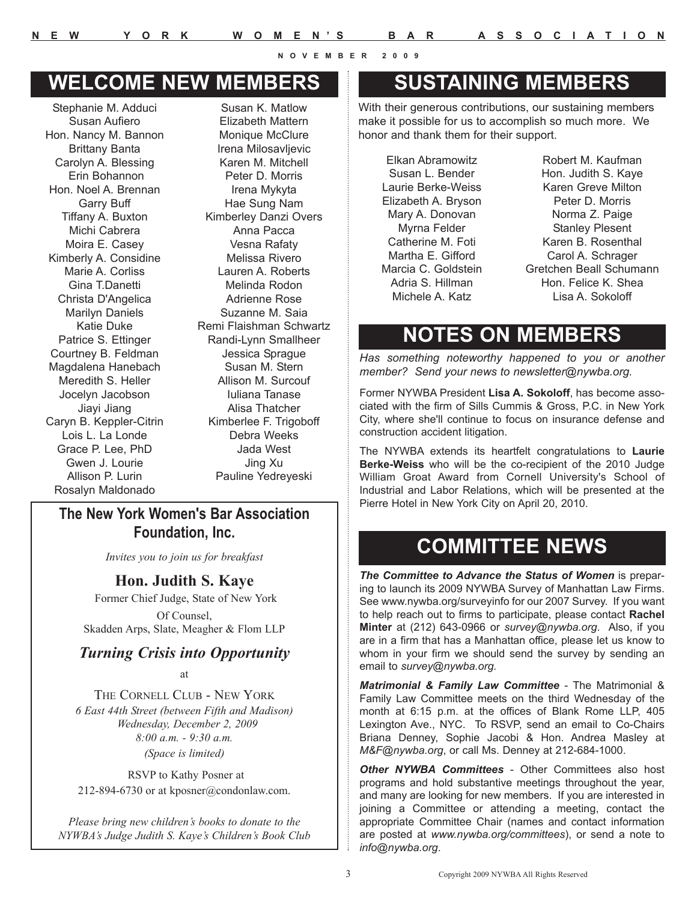# **WELCOME NEW MEMBERS SUSTAINING MEMBERS**

Stephanie M. Adduci Susan Aufiero Hon. Nancy M. Bannon Brittany Banta Carolyn A. Blessing Erin Bohannon Hon. Noel A. Brennan Garry Buff Tiffany A. Buxton Michi Cabrera Moira E. Casey Kimberly A. Considine Marie A. Corliss Gina T.Danetti Christa D'Angelica Marilyn Daniels Katie Duke Patrice S. Ettinger Courtney B. Feldman Magdalena Hanebach Meredith S. Heller Jocelyn Jacobson Jiayi Jiang Caryn B. Keppler-Citrin Lois L. La Londe Grace P. Lee, PhD Gwen J. Lourie Allison P. Lurin Rosalyn Maldonado

Susan K. Matlow Elizabeth Mattern Monique McClure Irena Milosavljevic Karen M. Mitchell Peter D. Morris Irena Mykyta Hae Sung Nam Kimberley Danzi Overs Anna Pacca Vesna Rafaty Melissa Rivero Lauren A. Roberts Melinda Rodon Adrienne Rose Suzanne M. Saia Remi Flaishman Schwartz Randi-Lynn Smallheer Jessica Sprague Susan M. Stern Allison M. Surcouf Iuliana Tanase Alisa Thatcher Kimberlee F. Trigoboff Debra Weeks Jada West Jing Xu Pauline Yedreyeski

### **The New York Women's Bar Association Foundation, Inc.**

*Invites you to join us for breakfast*

**Hon. Judith S. Kaye**

Former Chief Judge, State of New York Of Counsel, Skadden Arps, Slate, Meagher & Flom LLP

### *Turning Crisis into Opportunity*

at

THE CORNELL CLUB - NEW YORK *6 East 44th Street (between Fifth and Madison) Wednesday, December 2, 2009 8:00 a.m. - 9:30 a.m. (Space is limited)*

RSVP to Kathy Posner at 212-894-6730 or at kposner@condonlaw.com.

*Please bring new children's books to donate to the NYWBA's Judge Judith S. Kaye's Children's Book Club*

With their generous contributions, our sustaining members make it possible for us to accomplish so much more. We honor and thank them for their support.

Elkan Abramowitz Susan L. Bender Laurie Berke-Weiss Elizabeth A. Bryson Mary A. Donovan Myrna Felder Catherine M. Foti Martha E. Gifford Marcia C. Goldstein Adria S. Hillman Michele A. Katz

Robert M. Kaufman Hon. Judith S. Kaye Karen Greve Milton Peter D. Morris Norma Z. Paige Stanley Plesent Karen B. Rosenthal Carol A. Schrager Gretchen Beall Schumann Hon. Felice K. Shea Lisa A. Sokoloff

# **NOTES ON MEMBERS**

*Has something noteworthy happened to you or another member? Send your news to newsletter@nywba.org.*

Former NYWBA President **Lisa A. Sokoloff**, has become associated with the firm of Sills Cummis & Gross, P.C. in New York City, where she'll continue to focus on insurance defense and construction accident litigation.

The NYWBA extends its heartfelt congratulations to **Laurie Berke-Weiss** who will be the co-recipient of the 2010 Judge William Groat Award from Cornell University's School of Industrial and Labor Relations, which will be presented at the Pierre Hotel in New York City on April 20, 2010.

# **COMMITTEE NEWS**

*The Committee to Advance the Status of Women* is preparing to launch its 2009 NYWBA Survey of Manhattan Law Firms. See www.nywba.org/surveyinfo for our 2007 Survey. If you want to help reach out to firms to participate, please contact **Rachel Minter** at (212) 643-0966 or *survey@nywba.org*. Also, if you are in a firm that has a Manhattan office, please let us know to whom in your firm we should send the survey by sending an email to *survey@nywba.org.*

*Matrimonial & Family Law Committee* - The Matrimonial & Family Law Committee meets on the third Wednesday of the month at 6:15 p.m. at the offices of Blank Rome LLP, 405 Lexington Ave., NYC. To RSVP, send an email to Co-Chairs Briana Denney, Sophie Jacobi & Hon. Andrea Masley at *M&F@nywba.org*, or call Ms. Denney at 212-684-1000.

**Other NYWBA Committees** - Other Committees also host programs and hold substantive meetings throughout the year, and many are looking for new members. If you are interested in joining a Committee or attending a meeting, contact the appropriate Committee Chair (names and contact information are posted at *www.nywba.org/committees*), or send a note to *info@nywba.org*.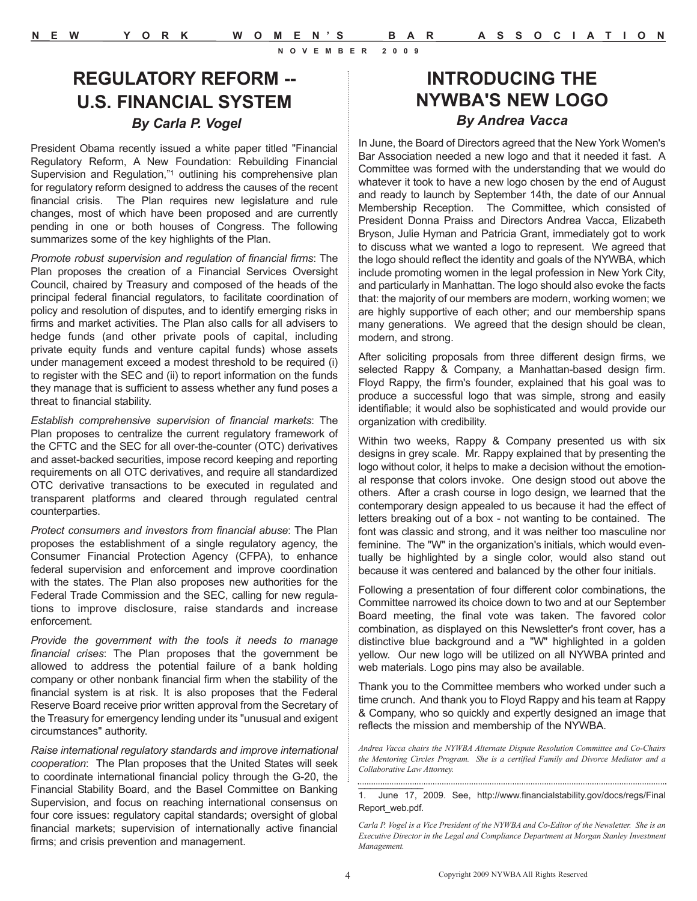# **REGULATORY REFORM -- U.S. FINANCIAL SYSTEM** *By Carla P. Vogel*

President Obama recently issued a white paper titled "Financial Regulatory Reform, A New Foundation: Rebuilding Financial Supervision and Regulation,"1 outlining his comprehensive plan for regulatory reform designed to address the causes of the recent financial crisis. The Plan requires new legislature and rule changes, most of which have been proposed and are currently pending in one or both houses of Congress. The following summarizes some of the key highlights of the Plan.

*Promote robust supervision and regulation of financial firms*: The Plan proposes the creation of a Financial Services Oversight Council, chaired by Treasury and composed of the heads of the principal federal financial regulators, to facilitate coordination of policy and resolution of disputes, and to identify emerging risks in firms and market activities. The Plan also calls for all advisers to hedge funds (and other private pools of capital, including private equity funds and venture capital funds) whose assets under management exceed a modest threshold to be required (i) to register with the SEC and (ii) to report information on the funds they manage that is sufficient to assess whether any fund poses a threat to financial stability.

*Establish comprehensive supervision of financial markets*: The Plan proposes to centralize the current regulatory framework of the CFTC and the SEC for all over-the-counter (OTC) derivatives and asset-backed securities, impose record keeping and reporting requirements on all OTC derivatives, and require all standardized OTC derivative transactions to be executed in regulated and transparent platforms and cleared through regulated central counterparties.

*Protect consumers and investors from financial abuse*: The Plan proposes the establishment of a single regulatory agency, the Consumer Financial Protection Agency (CFPA), to enhance federal supervision and enforcement and improve coordination with the states. The Plan also proposes new authorities for the Federal Trade Commission and the SEC, calling for new regulations to improve disclosure, raise standards and increase enforcement.

*Provide the government with the tools it needs to manage financial crises*: The Plan proposes that the government be allowed to address the potential failure of a bank holding company or other nonbank financial firm when the stability of the financial system is at risk. It is also proposes that the Federal Reserve Board receive prior written approval from the Secretary of the Treasury for emergency lending under its "unusual and exigent circumstances" authority.

*Raise international regulatory standards and improve international cooperation*: The Plan proposes that the United States will seek to coordinate international financial policy through the G-20, the Financial Stability Board, and the Basel Committee on Banking Supervision, and focus on reaching international consensus on four core issues: regulatory capital standards; oversight of global financial markets; supervision of internationally active financial firms; and crisis prevention and management.

# **INTRODUCING THE NYWBA'S NEW LOGO**  *By Andrea Vacca*

In June, the Board of Directors agreed that the New York Women's Bar Association needed a new logo and that it needed it fast. A Committee was formed with the understanding that we would do whatever it took to have a new logo chosen by the end of August and ready to launch by September 14th, the date of our Annual Membership Reception. The Committee, which consisted of President Donna Praiss and Directors Andrea Vacca, Elizabeth Bryson, Julie Hyman and Patricia Grant, immediately got to work to discuss what we wanted a logo to represent. We agreed that the logo should reflect the identity and goals of the NYWBA, which include promoting women in the legal profession in New York City, and particularly in Manhattan. The logo should also evoke the facts that: the majority of our members are modern, working women; we are highly supportive of each other; and our membership spans many generations. We agreed that the design should be clean, modern, and strong.

After soliciting proposals from three different design firms, we selected Rappy & Company, a Manhattan-based design firm. Floyd Rappy, the firm's founder, explained that his goal was to produce a successful logo that was simple, strong and easily identifiable; it would also be sophisticated and would provide our organization with credibility.

Within two weeks, Rappy & Company presented us with six designs in grey scale. Mr. Rappy explained that by presenting the logo without color, it helps to make a decision without the emotional response that colors invoke. One design stood out above the others. After a crash course in logo design, we learned that the contemporary design appealed to us because it had the effect of letters breaking out of a box - not wanting to be contained. The font was classic and strong, and it was neither too masculine nor feminine. The "W" in the organization's initials, which would eventually be highlighted by a single color, would also stand out because it was centered and balanced by the other four initials.

Following a presentation of four different color combinations, the Committee narrowed its choice down to two and at our September Board meeting, the final vote was taken. The favored color combination, as displayed on this Newsletter's front cover, has a distinctive blue background and a "W" highlighted in a golden yellow. Our new logo will be utilized on all NYWBA printed and web materials. Logo pins may also be available.

Thank you to the Committee members who worked under such a time crunch. And thank you to Floyd Rappy and his team at Rappy & Company, who so quickly and expertly designed an image that reflects the mission and membership of the NYWBA.

*Andrea Vacca chairs the NYWBA Alternate Dispute Resolution Committee and Co-Chairs the Mentoring Circles Program. She is a certified Family and Divorce Mediator and a Collaborative Law Attorney.*

1. June 17, 2009. See, http://www.financialstability.gov/docs/regs/Final Report\_web.pdf.

\_\_\_\_\_\_\_\_\_\_\_

*Carla P. Vogel is a Vice President of the NYWBA and Co-Editor of the Newsletter. She is an Executive Director in the Legal and Compliance Department at Morgan Stanley Investment Management.*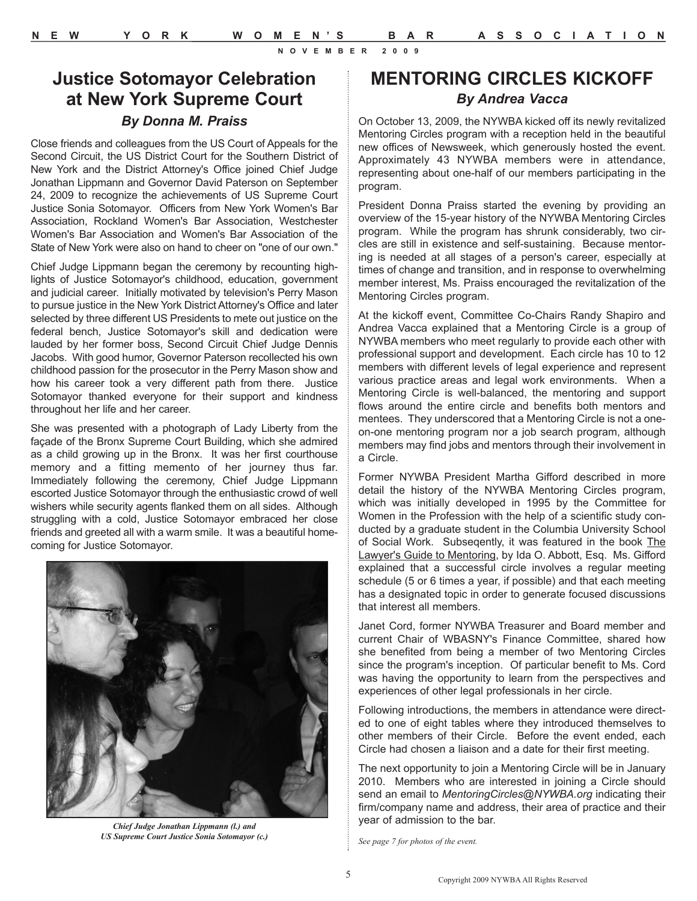# **MENTORING CIRCLES KICKOFF** *By Andrea Vacca* On October 13, 2009, the NYWBA kicked off its newly revitalized

Mentoring Circles program with a reception held in the beautiful new offices of Newsweek, which generously hosted the event. Approximately 43 NYWBA members were in attendance, representing about one-half of our members participating in the program.

President Donna Praiss started the evening by providing an overview of the 15-year history of the NYWBA Mentoring Circles program. While the program has shrunk considerably, two circles are still in existence and self-sustaining. Because mentoring is needed at all stages of a person's career, especially at times of change and transition, and in response to overwhelming member interest, Ms. Praiss encouraged the revitalization of the Mentoring Circles program.

At the kickoff event, Committee Co-Chairs Randy Shapiro and Andrea Vacca explained that a Mentoring Circle is a group of NYWBA members who meet regularly to provide each other with professional support and development. Each circle has 10 to 12 members with different levels of legal experience and represent various practice areas and legal work environments. When a Mentoring Circle is well-balanced, the mentoring and support flows around the entire circle and benefits both mentors and mentees. They underscored that a Mentoring Circle is not a oneon-one mentoring program nor a job search program, although members may find jobs and mentors through their involvement in a Circle.

Former NYWBA President Martha Gifford described in more detail the history of the NYWBA Mentoring Circles program, which was initially developed in 1995 by the Committee for Women in the Profession with the help of a scientific study conducted by a graduate student in the Columbia University School of Social Work. Subseqently, it was featured in the book The Lawyer's Guide to Mentoring, by Ida O. Abbott, Esq. Ms. Gifford explained that a successful circle involves a regular meeting schedule (5 or 6 times a year, if possible) and that each meeting has a designated topic in order to generate focused discussions that interest all members.

Janet Cord, former NYWBA Treasurer and Board member and current Chair of WBASNY's Finance Committee, shared how she benefited from being a member of two Mentoring Circles since the program's inception. Of particular benefit to Ms. Cord was having the opportunity to learn from the perspectives and experiences of other legal professionals in her circle.

Following introductions, the members in attendance were directed to one of eight tables where they introduced themselves to other members of their Circle. Before the event ended, each Circle had chosen a liaison and a date for their first meeting.

The next opportunity to join a Mentoring Circle will be in January 2010. Members who are interested in joining a Circle should send an email to *MentoringCircles@NYWBA.org* indicating their firm/company name and address, their area of practice and their year of admission to the bar.

*See page 7 for photos of the event.*

**Justice Sotomayor Celebration at New York Supreme Court** *By Donna M. Praiss*

Close friends and colleagues from the US Court of Appeals for the Second Circuit, the US District Court for the Southern District of New York and the District Attorney's Office joined Chief Judge Jonathan Lippmann and Governor David Paterson on September 24, 2009 to recognize the achievements of US Supreme Court Justice Sonia Sotomayor. Officers from New York Women's Bar Association, Rockland Women's Bar Association, Westchester Women's Bar Association and Women's Bar Association of the State of New York were also on hand to cheer on "one of our own."

Chief Judge Lippmann began the ceremony by recounting highlights of Justice Sotomayor's childhood, education, government and judicial career. Initially motivated by television's Perry Mason to pursue justice in the New York District Attorney's Office and later selected by three different US Presidents to mete out justice on the federal bench, Justice Sotomayor's skill and dedication were lauded by her former boss, Second Circuit Chief Judge Dennis Jacobs. With good humor, Governor Paterson recollected his own childhood passion for the prosecutor in the Perry Mason show and how his career took a very different path from there. Justice Sotomayor thanked everyone for their support and kindness throughout her life and her career.

She was presented with a photograph of Lady Liberty from the façade of the Bronx Supreme Court Building, which she admired as a child growing up in the Bronx. It was her first courthouse memory and a fitting memento of her journey thus far. Immediately following the ceremony, Chief Judge Lippmann escorted Justice Sotomayor through the enthusiastic crowd of well wishers while security agents flanked them on all sides. Although struggling with a cold, Justice Sotomayor embraced her close friends and greeted all with a warm smile. It was a beautiful homecoming for Justice Sotomayor.



*Chief Judge Jonathan Lippmann (l.) and US Supreme Court Justice Sonia Sotomayor (c.)*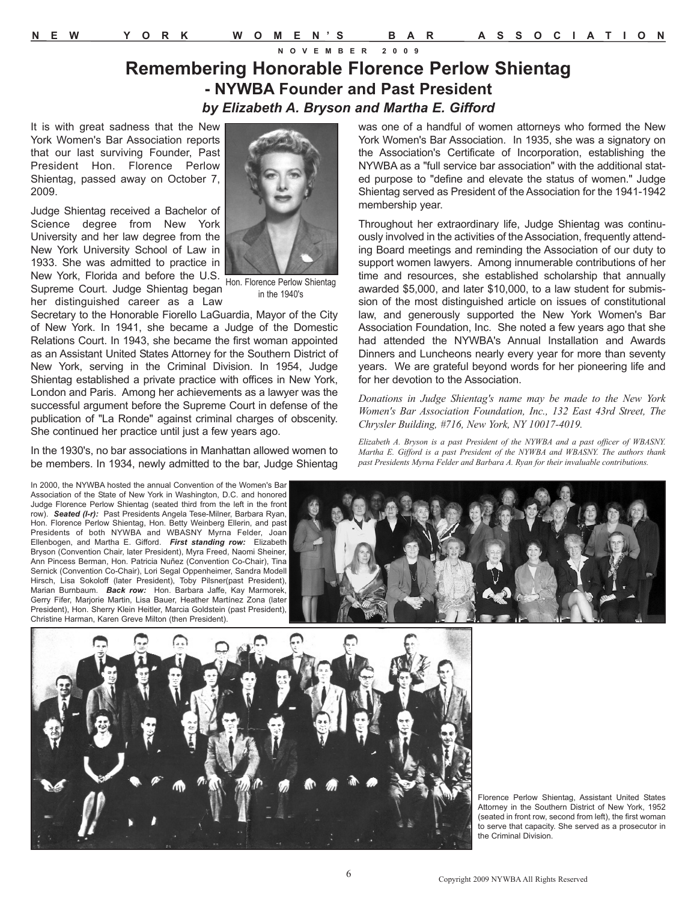### **Remembering Honorable Florence Perlow Shientag - NYWBA Founder and Past President** *by Elizabeth A. Bryson and Martha E. Gifford*

It is with great sadness that the New York Women's Bar Association reports that our last surviving Founder, Past President Hon. Florence Perlow Shientag, passed away on October 7, 2009.

Judge Shientag received a Bachelor of Science degree from New York University and her law degree from the New York University School of Law in 1933. She was admitted to practice in New York, Florida and before the U.S. Hon. Florence Perlow Shientag Supreme Court. Judge Shientag began

in the 1940's

her distinguished career as a Law Secretary to the Honorable Fiorello LaGuardia, Mayor of the City of New York. In 1941, she became a Judge of the Domestic Relations Court. In 1943, she became the first woman appointed as an Assistant United States Attorney for the Southern District of New York, serving in the Criminal Division. In 1954, Judge Shientag established a private practice with offices in New York, London and Paris. Among her achievements as a lawyer was the successful argument before the Supreme Court in defense of the publication of "La Ronde" against criminal charges of obscenity. She continued her practice until just a few years ago.

In the 1930's, no bar associations in Manhattan allowed women to be members. In 1934, newly admitted to the bar, Judge Shientag

was one of a handful of women attorneys who formed the New York Women's Bar Association. In 1935, she was a signatory on the Association's Certificate of Incorporation, establishing the NYWBA as a "full service bar association" with the additional stated purpose to "define and elevate the status of women." Judge Shientag served as President of the Association for the 1941-1942 membership year.

Throughout her extraordinary life, Judge Shientag was continuously involved in the activities of the Association, frequently attending Board meetings and reminding the Association of our duty to support women lawyers. Among innumerable contributions of her time and resources, she established scholarship that annually awarded \$5,000, and later \$10,000, to a law student for submission of the most distinguished article on issues of constitutional law, and generously supported the New York Women's Bar Association Foundation, Inc. She noted a few years ago that she had attended the NYWBA's Annual Installation and Awards Dinners and Luncheons nearly every year for more than seventy years. We are grateful beyond words for her pioneering life and for her devotion to the Association.

*Donations in Judge Shientag's name may be made to the New York Women's Bar Association Foundation, Inc., 132 East 43rd Street, The Chrysler Building, #716, New York, NY 10017-4019.*

*Elizabeth A. Bryson is a past President of the NYWBA and a past officer of WBASNY. Martha E. Gifford is a past President of the NYWBA and WBASNY. The authors thank past Presidents Myrna Felder and Barbara A. Ryan for their invaluable contributions.*

In 2000, the NYWBA hosted the annual Convention of the Women's Bar Association of the State of New York in Washington, D.C. and honored Judge Florence Perlow Shientag (seated third from the left in the front row). *Seated (l-r):* Past Presidents Angela Tese-Milner, Barbara Ryan, Hon. Florence Perlow Shientag, Hon. Betty Weinberg Ellerin, and past Presidents of both NYWBA and WBASNY Myrna Felder, Joan Ellenbogen, and Martha E. Gifford. *First standing row:* Elizabeth Bryson (Convention Chair, later President), Myra Freed, Naomi Sheiner, Ann Pincess Berman, Hon. Patricia Nuñez (Convention Co-Chair), Tina Sernick (Convention Co-Chair), Lori Segal Oppenheimer, Sandra Modell Hirsch, Lisa Sokoloff (later President), Toby Pilsner(past President), Marian Burnbaum. *Back row:* Hon. Barbara Jaffe, Kay Marmorek, Gerry Fifer, Marjorie Martin, Lisa Bauer, Heather Martínez Zona (later President), Hon. Sherry Klein Heitler, Marcia Goldstein (past President), Christine Harman, Karen Greve Milton (then President).





Florence Perlow Shientag, Assistant United States Attorney in the Southern District of New York, 1952 (seated in front row, second from left), the first woman to serve that capacity. She served as a prosecutor in the Criminal Division.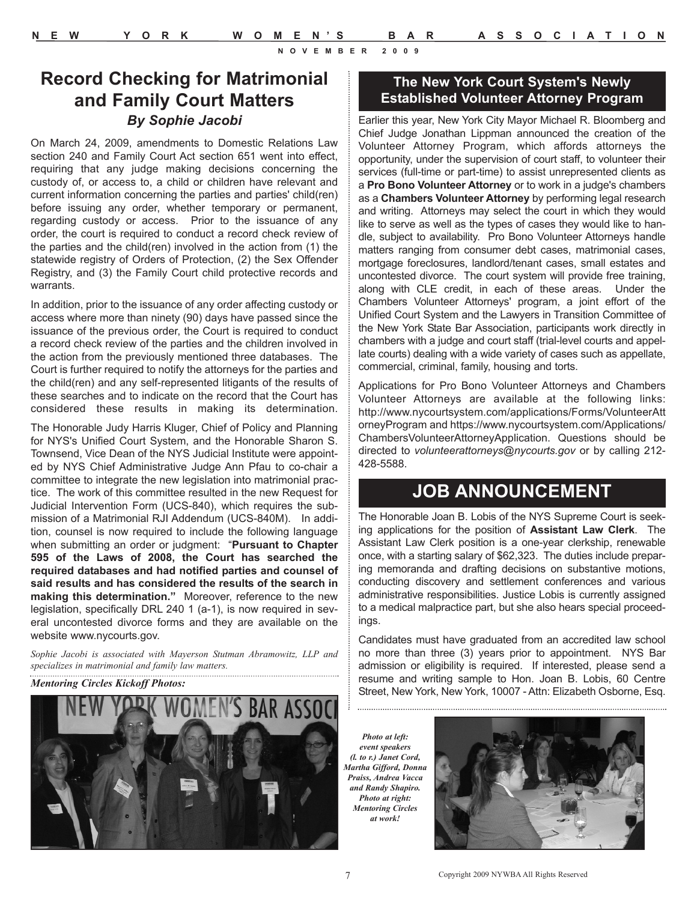# **Record Checking for Matrimonial and Family Court Matters**  *By Sophie Jacobi*

On March 24, 2009, amendments to Domestic Relations Law section 240 and Family Court Act section 651 went into effect, requiring that any judge making decisions concerning the custody of, or access to, a child or children have relevant and current information concerning the parties and parties' child(ren) before issuing any order, whether temporary or permanent, regarding custody or access. Prior to the issuance of any order, the court is required to conduct a record check review of the parties and the child(ren) involved in the action from (1) the statewide registry of Orders of Protection, (2) the Sex Offender Registry, and (3) the Family Court child protective records and warrants.

In addition, prior to the issuance of any order affecting custody or access where more than ninety (90) days have passed since the issuance of the previous order, the Court is required to conduct a record check review of the parties and the children involved in the action from the previously mentioned three databases. The Court is further required to notify the attorneys for the parties and the child(ren) and any self-represented litigants of the results of these searches and to indicate on the record that the Court has considered these results in making its determination.

The Honorable Judy Harris Kluger, Chief of Policy and Planning for NYS's Unified Court System, and the Honorable Sharon S. Townsend, Vice Dean of the NYS Judicial Institute were appointed by NYS Chief Administrative Judge Ann Pfau to co-chair a committee to integrate the new legislation into matrimonial practice. The work of this committee resulted in the new Request for Judicial Intervention Form (UCS-840), which requires the submission of a Matrimonial RJI Addendum (UCS-840M). In addition, counsel is now required to include the following language when submitting an order or judgment: "**Pursuant to Chapter 595 of the Laws of 2008, the Court has searched the required databases and had notified parties and counsel of said results and has considered the results of the search in making this determination."** Moreover, reference to the new legislation, specifically DRL 240 1 (a-1), is now required in several uncontested divorce forms and they are available on the website www.nycourts.gov.

*Sophie Jacobi is associated with Mayerson Stutman Abramowitz, LLP and specializes in matrimonial and family law matters.*



### **The New York Court System's Newly Established Volunteer Attorney Program**

Earlier this year, New York City Mayor Michael R. Bloomberg and Chief Judge Jonathan Lippman announced the creation of the Volunteer Attorney Program, which affords attorneys the opportunity, under the supervision of court staff, to volunteer their services (full-time or part-time) to assist unrepresented clients as a **Pro Bono Volunteer Attorney** or to work in a judge's chambers as a **Chambers Volunteer Attorney** by performing legal research and writing. Attorneys may select the court in which they would like to serve as well as the types of cases they would like to handle, subject to availability. Pro Bono Volunteer Attorneys handle matters ranging from consumer debt cases, matrimonial cases, mortgage foreclosures, landlord/tenant cases, small estates and uncontested divorce. The court system will provide free training, along with CLE credit, in each of these areas. Under the Chambers Volunteer Attorneys' program, a joint effort of the Unified Court System and the Lawyers in Transition Committee of the New York State Bar Association, participants work directly in chambers with a judge and court staff (trial-level courts and appellate courts) dealing with a wide variety of cases such as appellate, commercial, criminal, family, housing and torts.

Applications for Pro Bono Volunteer Attorneys and Chambers Volunteer Attorneys are available at the following links: http://www.nycourtsystem.com/applications/Forms/VolunteerAtt orneyProgram and https://www.nycourtsystem.com/Applications/ ChambersVolunteerAttorneyApplication. Questions should be directed to *volunteerattorneys@nycourts.gov* or by calling 212- 428-5588.

# **JOB ANNOUNCEMENT**

The Honorable Joan B. Lobis of the NYS Supreme Court is seeking applications for the position of **Assistant Law Clerk**. The Assistant Law Clerk position is a one-year clerkship, renewable once, with a starting salary of \$62,323. The duties include preparing memoranda and drafting decisions on substantive motions, conducting discovery and settlement conferences and various administrative responsibilities. Justice Lobis is currently assigned to a medical malpractice part, but she also hears special proceedings.

Candidates must have graduated from an accredited law school no more than three (3) years prior to appointment. NYS Bar admission or eligibility is required. If interested, please send a resume and writing sample to Hon. Joan B. Lobis, 60 Centre Mentoring Circles Kickoff Photos:<br>Street, New York, New York, 10007 - Attn: Elizabeth Osborne, Esq. 39. Street, New York, New York, 10007 - Attn: Elizabeth Osborne, Esq.

*Photo at left: event speakers (l. to r.) Janet Cord, Martha Gifford, Donna Praiss, Andrea Vacca and Randy Shapiro. Photo at right: Mentoring Circles at work!*